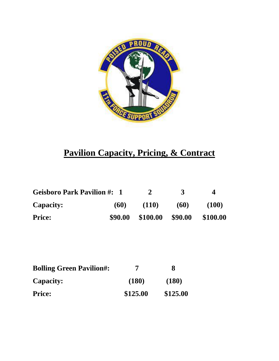

## **Pavilion Capacity, Pricing, & Contract**

| <b>Geisboro Park Pavilion #: 1</b> |         | $\mathcal{L}$ | $\mathbf{R}$ | 4        |
|------------------------------------|---------|---------------|--------------|----------|
| <b>Capacity:</b>                   | (60)    | (110)         | (60)         | (100)    |
| <b>Price:</b>                      | \$90.00 | \$100.00      | \$90.00      | \$100.00 |

| <b>Bolling Green Pavilion#:</b> |          | 8        |
|---------------------------------|----------|----------|
| <b>Capacity:</b>                | (180)    | (180)    |
| <b>Price:</b>                   | \$125.00 | \$125.00 |